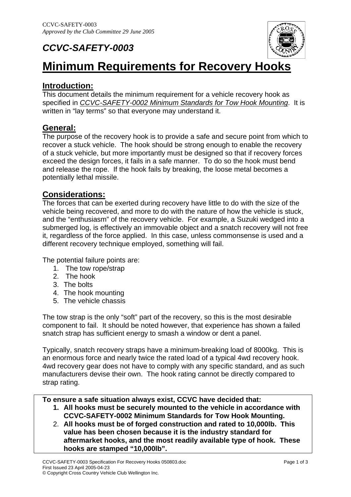# *CCVC-SAFETY-0003*



# **Minimum Requirements for Recovery Hooks**

#### **Introduction:**

This document details the minimum requirement for a vehicle recovery hook as specified in *CCVC-SAFETY-0002 Minimum Standards for Tow Hook Mounting*. It is written in "lay terms" so that everyone may understand it.

#### **General:**

The purpose of the recovery hook is to provide a safe and secure point from which to recover a stuck vehicle. The hook should be strong enough to enable the recovery of a stuck vehicle, but more importantly must be designed so that if recovery forces exceed the design forces, it fails in a safe manner. To do so the hook must bend and release the rope. If the hook fails by breaking, the loose metal becomes a potentially lethal missile.

#### **Considerations:**

The forces that can be exerted during recovery have little to do with the size of the vehicle being recovered, and more to do with the nature of how the vehicle is stuck, and the "enthusiasm" of the recovery vehicle. For example, a Suzuki wedged into a submerged log, is effectively an immovable object and a snatch recovery will not free it, regardless of the force applied. In this case, unless commonsense is used and a different recovery technique employed, something will fail.

The potential failure points are:

- 1. The tow rope/strap
- 2. The hook
- 3. The bolts
- 4. The hook mounting
- 5. The vehicle chassis

The tow strap is the only "soft" part of the recovery, so this is the most desirable component to fail. It should be noted however, that experience has shown a failed snatch strap has sufficient energy to smash a window or dent a panel.

Typically, snatch recovery straps have a minimum-breaking load of 8000kg. This is an enormous force and nearly twice the rated load of a typical 4wd recovery hook. 4wd recovery gear does not have to comply with any specific standard, and as such manufacturers devise their own. The hook rating cannot be directly compared to strap rating.

**To ensure a safe situation always exist, CCVC have decided that:** 

- **1. All hooks must be securely mounted to the vehicle in accordance with CCVC-SAFETY-0002 Minimum Standards for Tow Hook Mounting.**
- 2. **All hooks must be of forged construction and rated to 10,000lb. This value has been chosen because it is the industry standard for aftermarket hooks, and the most readily available type of hook. These hooks are stamped "10,000lb".**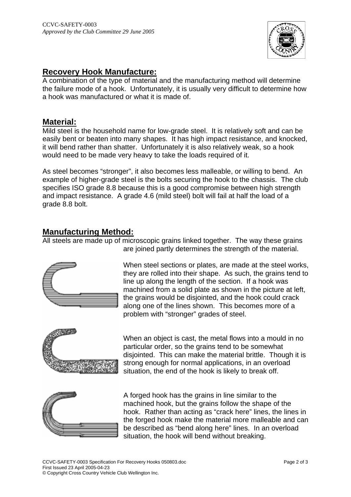

# **Recovery Hook Manufacture:**

A combination of the type of material and the manufacturing method will determine the failure mode of a hook. Unfortunately, it is usually very difficult to determine how a hook was manufactured or what it is made of.

## **Material:**

Mild steel is the household name for low-grade steel. It is relatively soft and can be easily bent or beaten into many shapes. It has high impact resistance, and knocked, it will bend rather than shatter. Unfortunately it is also relatively weak, so a hook would need to be made very heavy to take the loads required of it.

As steel becomes "stronger", it also becomes less malleable, or willing to bend. An example of higher-grade steel is the bolts securing the hook to the chassis. The club specifies ISO grade 8.8 because this is a good compromise between high strength and impact resistance. A grade 4.6 (mild steel) bolt will fail at half the load of a grade 8.8 bolt.

#### **Manufacturing Method:**

All steels are made up of microscopic grains linked together. The way these grains are joined partly determines the strength of the material.



When steel sections or plates, are made at the steel works, they are rolled into their shape. As such, the grains tend to line up along the length of the section. If a hook was machined from a solid plate as shown in the picture at left, the grains would be disjointed, and the hook could crack along one of the lines shown. This becomes more of a problem with "stronger" grades of steel.



When an object is cast, the metal flows into a mould in no particular order, so the grains tend to be somewhat disjointed. This can make the material brittle. Though it is strong enough for normal applications, in an overload situation, the end of the hook is likely to break off.



A forged hook has the grains in line similar to the machined hook, but the grains follow the shape of the hook. Rather than acting as "crack here" lines, the lines in the forged hook make the material more malleable and can be described as "bend along here" lines. In an overload situation, the hook will bend without breaking.